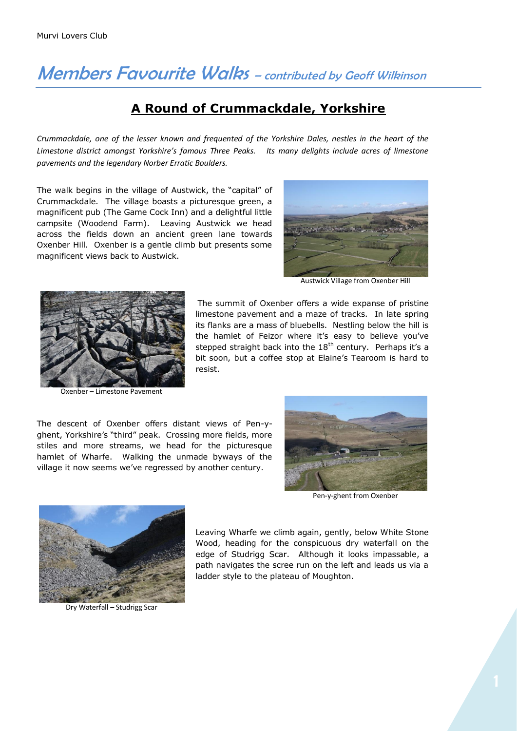## Members Favourite Walks - contributed by Geoff Wilkinson

## **A Round of Crummackdale, Yorkshire**

*Crummackdale, one of the lesser known and frequented of the Yorkshire Dales, nestles in the heart of the Limestone district amongst Yorkshire's famous Three Peaks. Its many delights include acres of limestone pavements and the legendary Norber Erratic Boulders.*

The walk begins in the village of Austwick, the "capital" of Crummackdale. The village boasts a picturesque green, a magnificent pub (The Game Cock Inn) and a delightful little campsite (Woodend Farm). Leaving Austwick we head across the fields down an ancient green lane towards Oxenber Hill. Oxenber is a gentle climb but presents some magnificent views back to Austwick.



Austwick Village from Oxenber Hill



Oxenber – Limestone Pavement

The summit of Oxenber offers a wide expanse of pristine limestone pavement and a maze of tracks. In late spring its flanks are a mass of bluebells. Nestling below the hill is the hamlet of Feizor where it's easy to believe you've stepped straight back into the  $18<sup>th</sup>$  century. Perhaps it's a bit soon, but a coffee stop at Elaine's Tearoom is hard to resist.

The descent of Oxenber offers distant views of Pen-yghent, Yorkshire's "third" peak. Crossing more fields, more stiles and more streams, we head for the picturesque hamlet of Wharfe. Walking the unmade byways of the village it now seems we've regressed by another century.



Pen-y-ghent from Oxenber



Dry Waterfall – Studrigg Scar

Leaving Wharfe we climb again, gently, below White Stone Wood, heading for the conspicuous dry waterfall on the edge of Studrigg Scar. Although it looks impassable, a path navigates the scree run on the left and leads us via a ladder style to the plateau of Moughton.